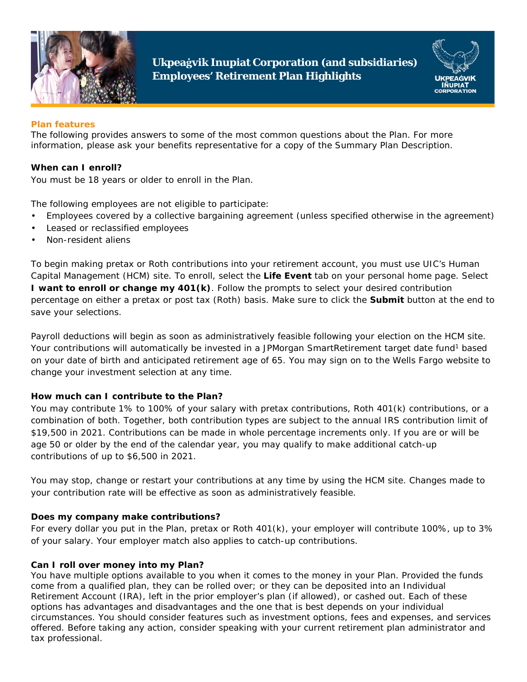

**Ukpeaġvik Inupiat Corporation (and subsidiaries) Employees' Retirement Plan Highlights**



### **Plan features**

The following provides answers to some of the most common questions about the Plan. For more information, please ask your benefits representative for a copy of the Summary Plan Description.

### **When can I enroll?**

You must be 18 years or older to enroll in the Plan.

The following employees are not eligible to participate:

- Employees covered by a collective bargaining agreement (unless specified otherwise in the agreement)
- Leased or reclassified employees
- Non-resident aliens

To begin making pretax or Roth contributions into your retirement account, you must use UIC's Human Capital Management (HCM) site. To enroll, select the **Life Event** tab on your personal home page. Select **I want to enroll or change my 401(k)**. Follow the prompts to select your desired contribution percentage on either a pretax or post tax (Roth) basis. Make sure to click the **Submit** button at the end to save your selections.

Payroll deductions will begin as soon as administratively feasible following your election on the HCM site. Your contributions will automatically be invested in a JPMorgan SmartRetirement target date fund<sup>1</sup> based on your date of birth and anticipated retirement age of 65. You may sign on to the Wells Fargo website to change your investment selection at any time.

### **How much can I contribute to the Plan?**

You may contribute 1% to 100% of your salary with pretax contributions, Roth 401(k) contributions, or a combination of both. Together, both contribution types are subject to the annual IRS contribution limit of \$19,500 in 2021. Contributions can be made in whole percentage increments only. If you are or will be age 50 or older by the end of the calendar year, you may qualify to make additional catch-up contributions of up to \$6,500 in 2021.

You may stop, change or restart your contributions at any time by using the HCM site. Changes made to your contribution rate will be effective as soon as administratively feasible.

### **Does my company make contributions?**

For every dollar you put in the Plan, pretax or Roth 401(k), your employer will contribute 100%, up to 3% of your salary. Your employer match also applies to catch-up contributions.

### **Can I roll over money into my Plan?**

You have multiple options available to you when it comes to the money in your Plan. Provided the funds come from a qualified plan, they can be rolled over; or they can be deposited into an Individual Retirement Account (IRA), left in the prior employer's plan (if allowed), or cashed out. Each of these options has advantages and disadvantages and the one that is best depends on your individual circumstances. You should consider features such as investment options, fees and expenses, and services offered. Before taking any action, consider speaking with your current retirement plan administrator and tax professional.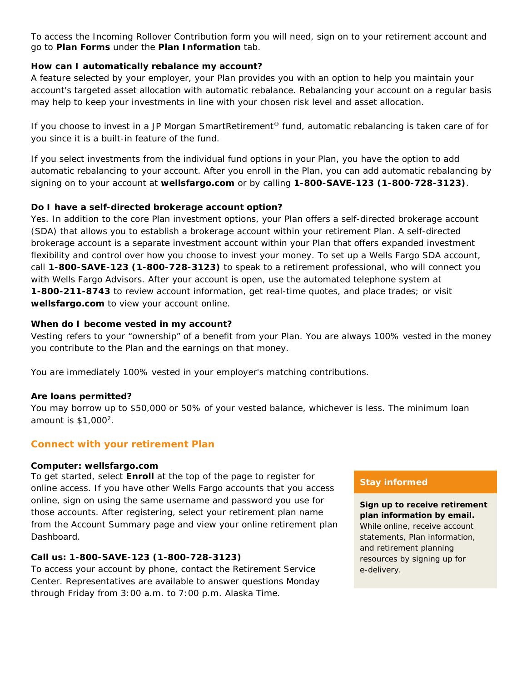To access the Incoming Rollover Contribution form you will need, sign on to your retirement account and go to **Plan Forms** under the **Plan Information** tab.

## **How can I automatically rebalance my account?**

A feature selected by your employer, your Plan provides you with an option to help you maintain your account's targeted asset allocation with automatic rebalance. Rebalancing your account on a regular basis may help to keep your investments in line with your chosen risk level and asset allocation.

If you choose to invest in a JP Morgan SmartRetirement<sup>®</sup> fund, automatic rebalancing is taken care of for you since it is a built-in feature of the fund.

If you select investments from the individual fund options in your Plan, you have the option to add automatic rebalancing to your account. After you enroll in the Plan, you can add automatic rebalancing by signing on to your account at **wellsfargo.com** or by calling **1-800-SAVE-123 (1-800-728-3123)**.

### **Do I have a self-directed brokerage account option?**

Yes. In addition to the core Plan investment options, your Plan offers a self-directed brokerage account (SDA) that allows you to establish a brokerage account within your retirement Plan. A self-directed brokerage account is a separate investment account within your Plan that offers expanded investment flexibility and control over how you choose to invest your money. To set up a Wells Fargo SDA account, call **1-800-SAVE-123 (1-800-728-3123)** to speak to a retirement professional, who will connect you with Wells Fargo Advisors. After your account is open, use the automated telephone system at **1-800-211-8743** to review account information, get real-time quotes, and place trades; or visit **wellsfargo.com** to view your account online.

### **When do I become vested in my account?**

Vesting refers to your "ownership" of a benefit from your Plan. You are always 100% vested in the money you contribute to the Plan and the earnings on that money.

You are immediately 100% vested in your employer's matching contributions.

### **Are loans permitted?**

You may borrow up to \$50,000 or 50% of your vested balance, whichever is less. The minimum loan amount is \$1,0002*.*

# **Connect with your retirement Plan**

### **Computer: wellsfargo.com**

To get started, select **Enroll** at the top of the page to register for online access. If you have other Wells Fargo accounts that you access online, sign on using the same username and password you use for those accounts. After registering, select your retirement plan name from the Account Summary page and view your online retirement plan Dashboard.

### **Call us: 1-800-SAVE-123 (1-800-728-3123)**

To access your account by phone, contact the Retirement Service Center. Representatives are available to answer questions Monday through Friday from 3:00 a.m. to 7:00 p.m. Alaska Time.

### **Stay informed**

**Sign up to receive retirement plan information by email.** While online, receive account statements, Plan information, and retirement planning resources by signing up for e-delivery.